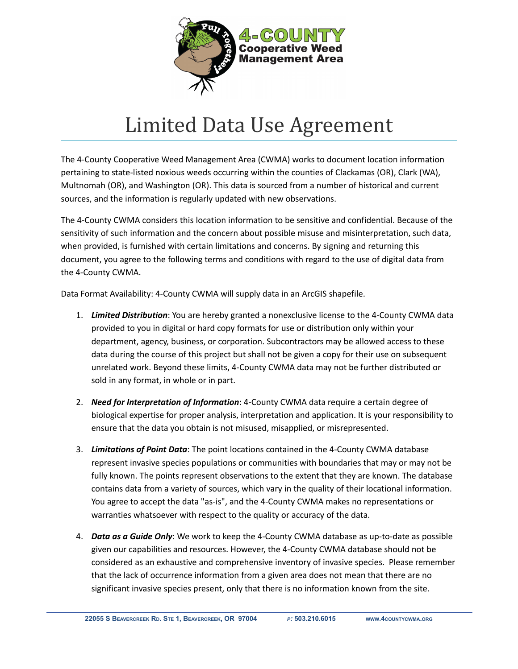

## Limited Data Use Agreement

The 4-County Cooperative Weed Management Area (CWMA) works to document location information pertaining to state-listed noxious weeds occurring within the counties of Clackamas (OR), Clark (WA), Multnomah (OR), and Washington (OR). This data is sourced from a number of historical and current sources, and the information is regularly updated with new observations.

The 4-County CWMA considers this location information to be sensitive and confidential. Because of the sensitivity of such information and the concern about possible misuse and misinterpretation, such data, when provided, is furnished with certain limitations and concerns. By signing and returning this document, you agree to the following terms and conditions with regard to the use of digital data from the 4-County CWMA.

Data Format Availability: 4-County CWMA will supply data in an ArcGIS shapefile.

- 1. *Limited Distribution*: You are hereby granted a nonexclusive license to the 4-County CWMA data provided to you in digital or hard copy formats for use or distribution only within your department, agency, business, or corporation. Subcontractors may be allowed access to these data during the course of this project but shall not be given a copy for their use on subsequent unrelated work. Beyond these limits, 4-County CWMA data may not be further distributed or sold in any format, in whole or in part.
- 2. *Need for Interpretation of Information*: 4-County CWMA data require a certain degree of biological expertise for proper analysis, interpretation and application. It is your responsibility to ensure that the data you obtain is not misused, misapplied, or misrepresented.
- 3. *Limitations of Point Data*: The point locations contained in the 4-County CWMA database represent invasive species populations or communities with boundaries that may or may not be fully known. The points represent observations to the extent that they are known. The database contains data from a variety of sources, which vary in the quality of their locational information. You agree to accept the data "as-is", and the 4-County CWMA makes no representations or warranties whatsoever with respect to the quality or accuracy of the data.
- 4. *Data as a Guide Only*: We work to keep the 4-County CWMA database as up-to-date as possible given our capabilities and resources. However, the 4-County CWMA database should not be considered as an exhaustive and comprehensive inventory of invasive species. Please remember that the lack of occurrence information from a given area does not mean that there are no significant invasive species present, only that there is no information known from the site.